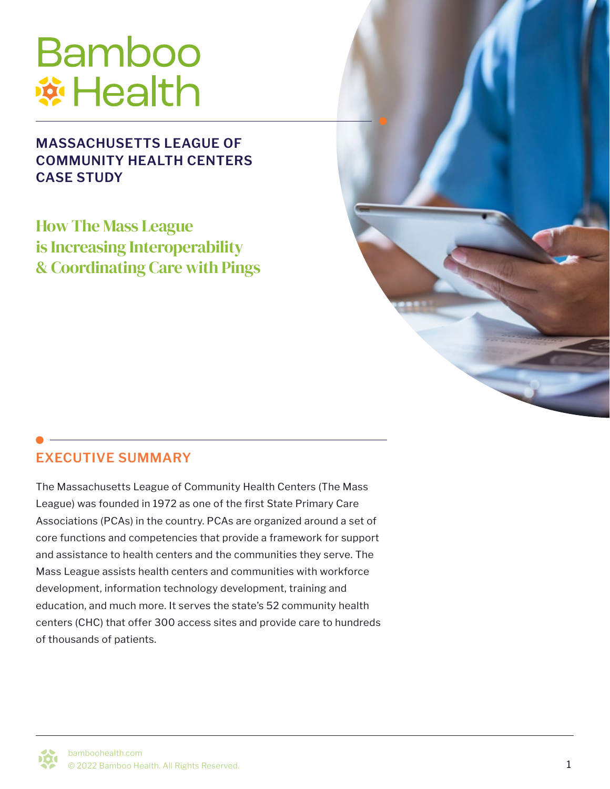# **Bamboo \*Health**

#### **MASSACHUSETTS LEAGUE OF COMMUNITY HEALTH CENTERS CASE STUDY**

How The Mass League is Increasing Interoperability & Coordinating Care with Pings



#### **EXECUTIVE SUMMARY**

The Massachusetts League of Community Health Centers (The Mass League) was founded in 1972 as one of the first State Primary Care Associations (PCAs) in the country. PCAs are organized around a set of core functions and competencies that provide a framework for support and assistance to health centers and the communities they serve. The Mass League assists health centers and communities with workforce development, information technology development, training and education, and much more. It serves the state's 52 community health centers (CHC) that offer 300 access sites and provide care to hundreds of thousands of patients.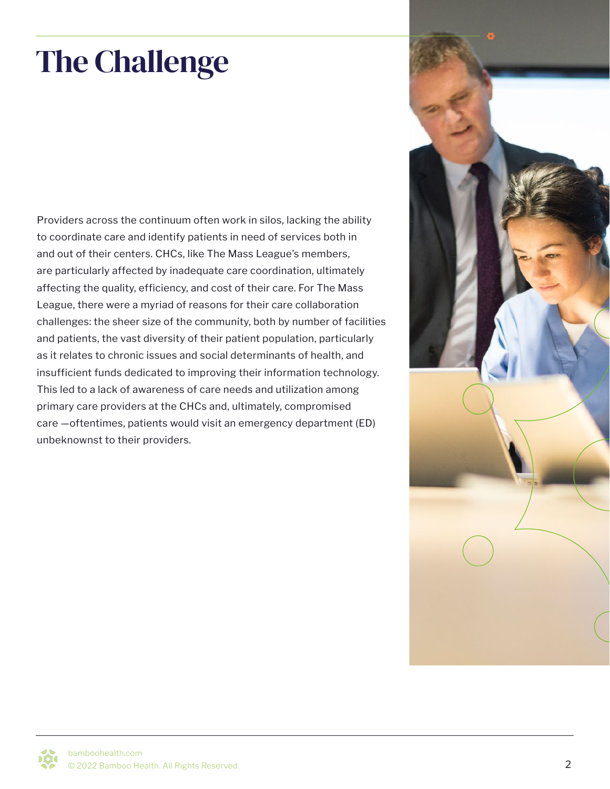# The Challenge

Providers across the continuum often work in silos, lacking the ability to coordinate care and identify patients in need of services both in and out of their centers. CHCs, like The Mass League's members, are particularly affected by inadequate care coordination, ultimately affecting the quality, efficiency, and cost of their care. For The Mass League, there were a myriad of reasons for their care collaboration challenges: the sheer size of the community, both by number of facilities and patients, the vast diversity of their patient population, particularly as it relates to chronic issues and social determinants of health, and insufficient funds dedicated to improving their information technology. This led to a lack of awareness of care needs and utilization among primary care providers at the CHCs and, ultimately, compromised care —oftentimes, patients would visit an emergency department (ED) unbeknownst to their providers.

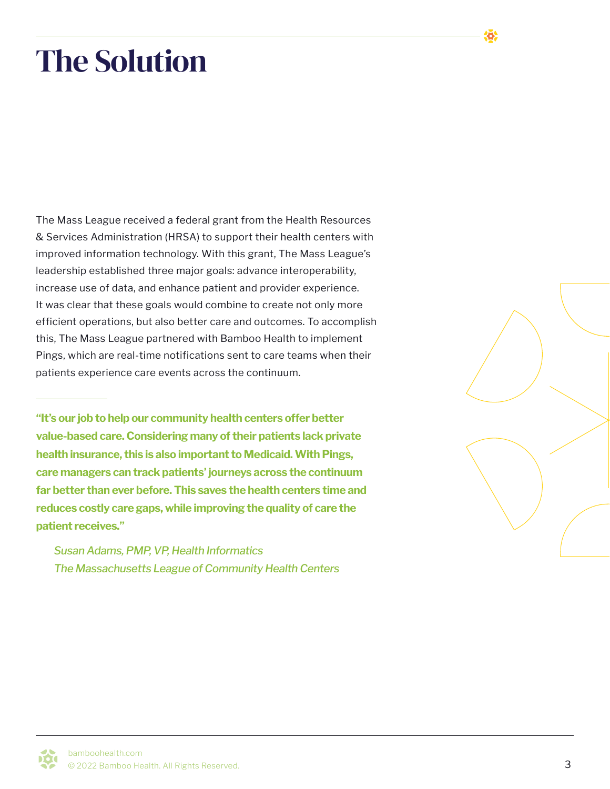### The Solution

The Mass League received a federal grant from the Health Resources & Services Administration (HRSA) to support their health centers with improved information technology. With this grant, The Mass League's leadership established three major goals: advance interoperability, increase use of data, and enhance patient and provider experience. It was clear that these goals would combine to create not only more efficient operations, but also better care and outcomes. To accomplish this, The Mass League partnered with Bamboo Health to implement Pings, which are real-time notifications sent to care teams when their patients experience care events across the continuum.

**"It's our job to help our community health centers offer better value-based care. Considering many of their patients lack private health insurance, this is also important to Medicaid. With Pings, care managers can track patients' journeys across the continuum far better than ever before. This saves the health centers time and reduces costly care gaps, while improving the quality of care the patient receives."** 

*Susan Adams, PMP, VP, Health Informatics The Massachusetts League of Community Health Centers* 

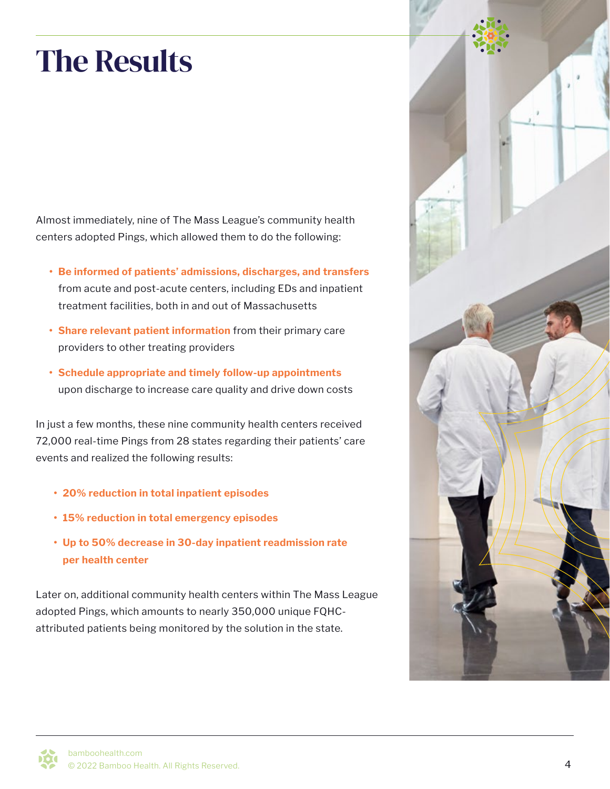## The Results

Almost immediately, nine of The Mass League's community health centers adopted Pings, which allowed them to do the following:

- **• Be informed of patients' admissions, discharges, and transfers** from acute and post-acute centers, including EDs and inpatient treatment facilities, both in and out of Massachusetts
- **• Share relevant patient information** from their primary care providers to other treating providers
- **• Schedule appropriate and timely follow-up appointments** upon discharge to increase care quality and drive down costs

In just a few months, these nine community health centers received 72,000 real-time Pings from 28 states regarding their patients' care events and realized the following results:

- **• 20% reduction in total inpatient episodes**
- **• 15% reduction in total emergency episodes**
- **• Up to 50% decrease in 30-day inpatient readmission rate per health center**

Later on, additional community health centers within The Mass League adopted Pings, which amounts to nearly 350,000 unique FQHCattributed patients being monitored by the solution in the state.

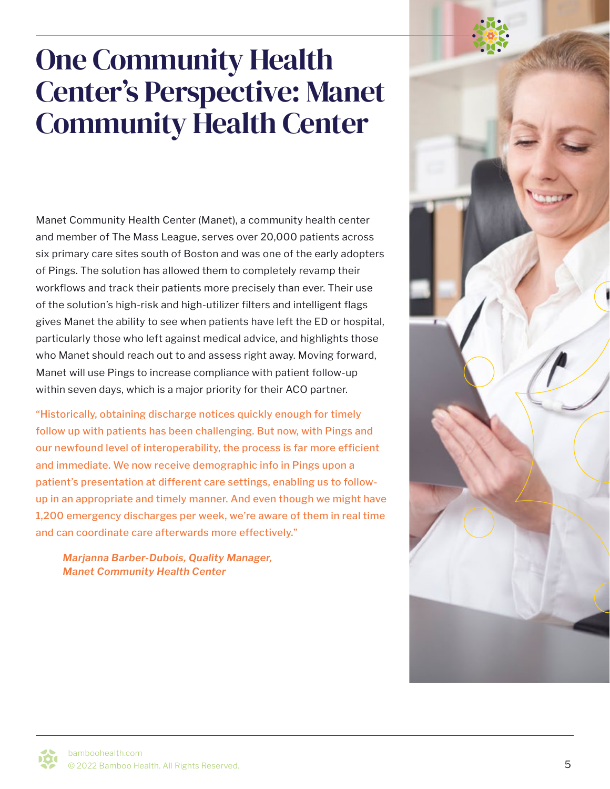#### One Community Health Center's Perspective: Manet Community Health Center

Manet Community Health Center (Manet), a community health center and member of The Mass League, serves over 20,000 patients across six primary care sites south of Boston and was one of the early adopters of Pings. The solution has allowed them to completely revamp their workflows and track their patients more precisely than ever. Their use of the solution's high-risk and high-utilizer filters and intelligent flags gives Manet the ability to see when patients have left the ED or hospital, particularly those who left against medical advice, and highlights those who Manet should reach out to and assess right away. Moving forward, Manet will use Pings to increase compliance with patient follow-up within seven days, which is a major priority for their ACO partner.

"Historically, obtaining discharge notices quickly enough for timely follow up with patients has been challenging. But now, with Pings and our newfound level of interoperability, the process is far more efficient and immediate. We now receive demographic info in Pings upon a patient's presentation at different care settings, enabling us to followup in an appropriate and timely manner. And even though we might have 1,200 emergency discharges per week, we're aware of them in real time and can coordinate care afterwards more effectively."

*Marjanna Barber-Dubois, Quality Manager, Manet Community Health Center*